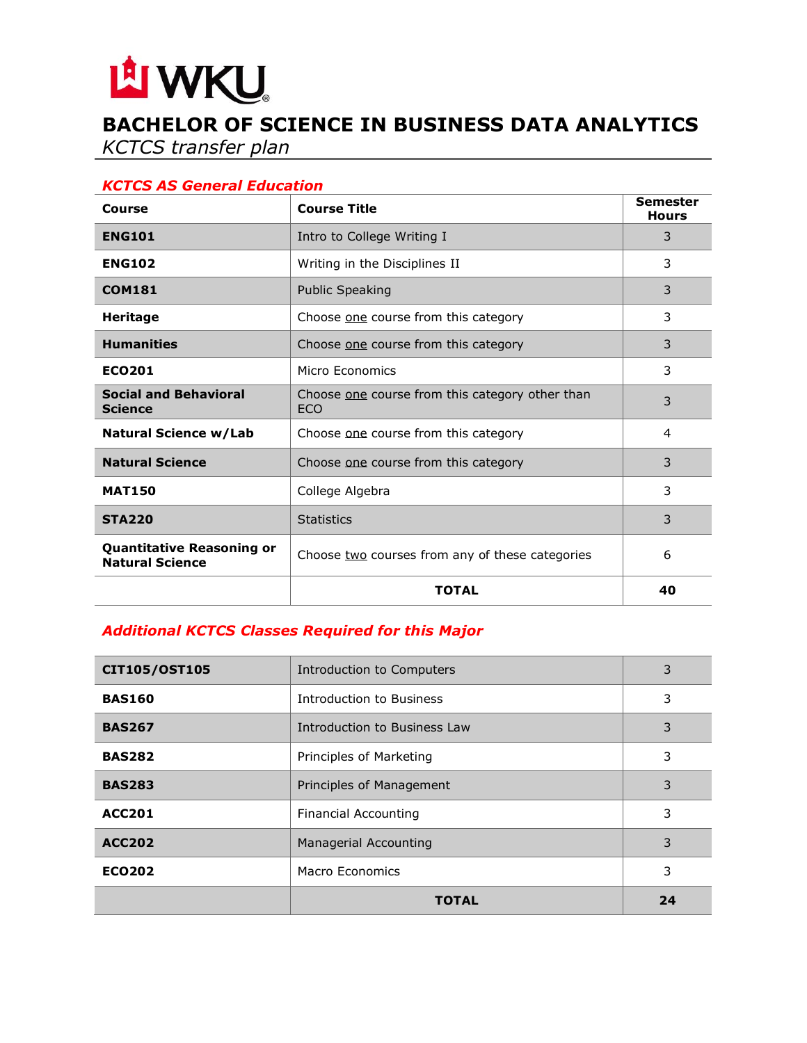# LA WKU.

# **BACHELOR OF SCIENCE IN BUSINESS DATA ANALYTICS**

*KCTCS transfer plan*

## *KCTCS AS General Education*

| Course                                                     | <b>Course Title</b>                                           | <b>Semester</b><br><b>Hours</b> |
|------------------------------------------------------------|---------------------------------------------------------------|---------------------------------|
| <b>ENG101</b>                                              | Intro to College Writing I                                    | 3                               |
| <b>ENG102</b>                                              | Writing in the Disciplines II                                 | 3                               |
| <b>COM181</b>                                              | <b>Public Speaking</b>                                        | 3                               |
| <b>Heritage</b>                                            | Choose one course from this category                          | 3                               |
| <b>Humanities</b>                                          | Choose one course from this category                          | 3                               |
| <b>ECO201</b>                                              | Micro Fconomics                                               | 3                               |
| <b>Social and Behavioral</b><br><b>Science</b>             | Choose one course from this category other than<br><b>ECO</b> | 3                               |
| Natural Science w/Lab                                      | Choose one course from this category                          | 4                               |
| <b>Natural Science</b>                                     | Choose one course from this category                          | 3                               |
| <b>MAT150</b>                                              | College Algebra                                               | 3                               |
| <b>STA220</b>                                              | <b>Statistics</b>                                             | 3                               |
| <b>Quantitative Reasoning or</b><br><b>Natural Science</b> | Choose two courses from any of these categories               | 6                               |
|                                                            | <b>TOTAL</b>                                                  | 40                              |

# *Additional KCTCS Classes Required for this Major*

| CIT105/OST105 | Introduction to Computers    | 3  |
|---------------|------------------------------|----|
| <b>BAS160</b> | Introduction to Business     | 3  |
| <b>BAS267</b> | Introduction to Business Law | 3  |
| <b>BAS282</b> | Principles of Marketing      | 3  |
| <b>BAS283</b> | Principles of Management     | 3  |
| <b>ACC201</b> | <b>Financial Accounting</b>  | 3  |
| <b>ACC202</b> | <b>Managerial Accounting</b> | 3  |
| <b>ECO202</b> | Macro Economics              | 3  |
|               | TOTAL                        | 24 |